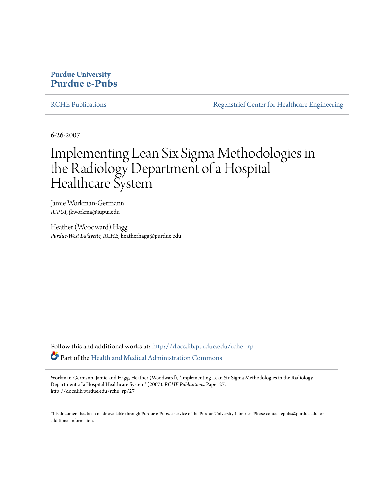# **Purdue University [Purdue e-Pubs](http://docs.lib.purdue.edu?utm_source=docs.lib.purdue.edu%2Frche_rp%2F27&utm_medium=PDF&utm_campaign=PDFCoverPages)**

[RCHE Publications](http://docs.lib.purdue.edu/rche_rp?utm_source=docs.lib.purdue.edu%2Frche_rp%2F27&utm_medium=PDF&utm_campaign=PDFCoverPages) [Regenstrief Center for Healthcare Engineering](http://docs.lib.purdue.edu/rche?utm_source=docs.lib.purdue.edu%2Frche_rp%2F27&utm_medium=PDF&utm_campaign=PDFCoverPages)

6-26-2007

# Implementing Lean Six Sigma Methodologies in the Radiology Department of a Hospital Healthcare System

Jamie Workman-Germann *IUPUI*, jkworkma@iupui.edu

Heather (Woodward) Hagg *Purdue-West Lafayette, RCHE*, heatherhagg@purdue.edu

Follow this and additional works at: [http://docs.lib.purdue.edu/rche\\_rp](http://docs.lib.purdue.edu/rche_rp?utm_source=docs.lib.purdue.edu%2Frche_rp%2F27&utm_medium=PDF&utm_campaign=PDFCoverPages) Part of the [Health and Medical Administration Commons](http://network.bepress.com/hgg/discipline/663?utm_source=docs.lib.purdue.edu%2Frche_rp%2F27&utm_medium=PDF&utm_campaign=PDFCoverPages)

Workman-Germann, Jamie and Hagg, Heather (Woodward), "Implementing Lean Six Sigma Methodologies in the Radiology Department of a Hospital Healthcare System" (2007). *RCHE Publications.* Paper 27. http://docs.lib.purdue.edu/rche\_rp/27

This document has been made available through Purdue e-Pubs, a service of the Purdue University Libraries. Please contact epubs@purdue.edu for additional information.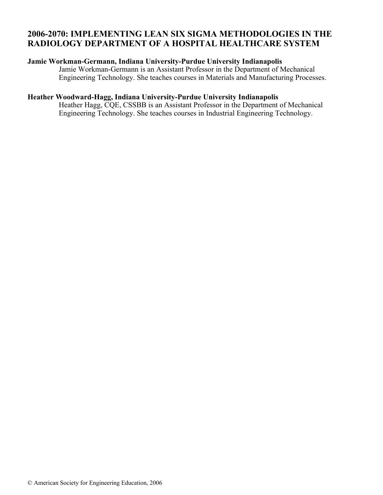## **2006-2070: IMPLEMENTING LEAN SIX SIGMA METHODOLOGIES IN THE RADIOLOGY DEPARTMENT OF A HOSPITAL HEALTHCARE SYSTEM**

#### **Jamie Workman-Germann, Indiana University-Purdue University Indianapolis**

Jamie Workman-Germann is an Assistant Professor in the Department of Mechanical Engineering Technology. She teaches courses in Materials and Manufacturing Processes.

## **Heather Woodward-Hagg, Indiana University-Purdue University Indianapolis**

Heather Hagg, CQE, CSSBB is an Assistant Professor in the Department of Mechanical Engineering Technology. She teaches courses in Industrial Engineering Technology.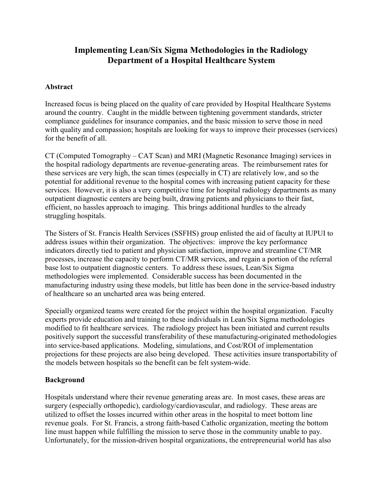# Implementing Lean/Six Sigma Methodologies in the Radiology Department of a Hospital Healthcare System

## Abstract

Increased focus is being placed on the quality of care provided by Hospital Healthcare Systems around the country. Caught in the middle between tightening government standards, stricter compliance guidelines for insurance companies, and the basic mission to serve those in need with quality and compassion; hospitals are looking for ways to improve their processes (services) for the benefit of all.

CT (Computed Tomography – CAT Scan) and MRI (Magnetic Resonance Imaging) services in the hospital radiology departments are revenue-generating areas. The reimbursement rates for these services are very high, the scan times (especially in CT) are relatively low, and so the potential for additional revenue to the hospital comes with increasing patient capacity for these services. However, it is also a very competitive time for hospital radiology departments as many outpatient diagnostic centers are being built, drawing patients and physicians to their fast, efficient, no hassles approach to imaging. This brings additional hurdles to the already struggling hospitals.

The Sisters of St. Francis Health Services (SSFHS) group enlisted the aid of faculty at IUPUI to address issues within their organization. The objectives: improve the key performance indicators directly tied to patient and physician satisfaction, improve and streamline CT/MR processes, increase the capacity to perform CT/MR services, and regain a portion of the referral base lost to outpatient diagnostic centers. To address these issues, Lean/Six Sigma methodologies were implemented. Considerable success has been documented in the manufacturing industry using these models, but little has been done in the service-based industry of healthcare so an uncharted area was being entered.

Specially organized teams were created for the project within the hospital organization. Faculty experts provide education and training to these individuals in Lean/Six Sigma methodologies modified to fit healthcare services. The radiology project has been initiated and current results positively support the successful transferability of these manufacturing-originated methodologies into service-based applications. Modeling, simulations, and Cost/ROI of implementation projections for these projects are also being developed. These activities insure transportability of the models between hospitals so the benefit can be felt system-wide.

## Background

Hospitals understand where their revenue generating areas are. In most cases, these areas are surgery (especially orthopedic), cardiology/cardiovascular, and radiology. These areas are utilized to offset the losses incurred within other areas in the hospital to meet bottom line revenue goals. For St. Francis, a strong faith-based Catholic organization, meeting the bottom line must happen while fulfilling the mission to serve those in the community unable to pay. Unfortunately, for the mission-driven hospital organizations, the entrepreneurial world has also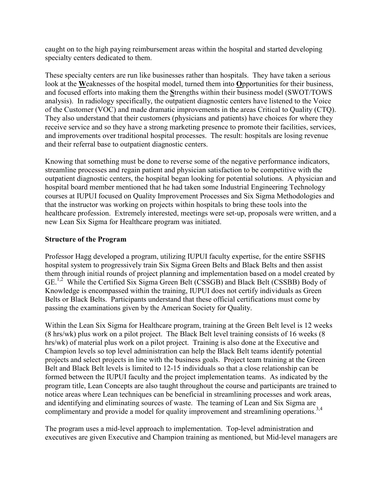caught on to the high paying reimbursement areas within the hospital and started developing specialty centers dedicated to them.

These specialty centers are run like businesses rather than hospitals. They have taken a serious look at the Weaknesses of the hospital model, turned them into Opportunities for their business, and focused efforts into making them the Strengths within their business model (SWOT/TOWS analysis). In radiology specifically, the outpatient diagnostic centers have listened to the Voice of the Customer (VOC) and made dramatic improvements in the areas Critical to Quality (CTQ). They also understand that their customers (physicians and patients) have choices for where they receive service and so they have a strong marketing presence to promote their facilities, services, and improvements over traditional hospital processes. The result: hospitals are losing revenue and their referral base to outpatient diagnostic centers.

Knowing that something must be done to reverse some of the negative performance indicators, streamline processes and regain patient and physician satisfaction to be competitive with the outpatient diagnostic centers, the hospital began looking for potential solutions. A physician and hospital board member mentioned that he had taken some Industrial Engineering Technology courses at IUPUI focused on Quality Improvement Processes and Six Sigma Methodologies and that the instructor was working on projects within hospitals to bring these tools into the healthcare profession. Extremely interested, meetings were set-up, proposals were written, and a new Lean Six Sigma for Healthcare program was initiated.

## Structure of the Program

Professor Hagg developed a program, utilizing IUPUI faculty expertise, for the entire SSFHS hospital system to progressively train Six Sigma Green Belts and Black Belts and then assist them through initial rounds of project planning and implementation based on a model created by GE.1,2 While the Certified Six Sigma Green Belt (CSSGB) and Black Belt (CSSBB) Body of Knowledge is encompassed within the training, IUPUI does not certify individuals as Green Belts or Black Belts. Participants understand that these official certifications must come by passing the examinations given by the American Society for Quality.

Within the Lean Six Sigma for Healthcare program, training at the Green Belt level is 12 weeks (8 hrs/wk) plus work on a pilot project. The Black Belt level training consists of 16 weeks (8 hrs/wk) of material plus work on a pilot project. Training is also done at the Executive and Champion levels so top level administration can help the Black Belt teams identify potential projects and select projects in line with the business goals. Project team training at the Green Belt and Black Belt levels is limited to 12-15 individuals so that a close relationship can be formed between the IUPUI faculty and the project implementation teams. As indicated by the program title, Lean Concepts are also taught throughout the course and participants are trained to notice areas where Lean techniques can be beneficial in streamlining processes and work areas, and identifying and eliminating sources of waste. The teaming of Lean and Six Sigma are complimentary and provide a model for quality improvement and streamlining operations.<sup>3,4</sup>

The program uses a mid-level approach to implementation. Top-level administration and executives are given Executive and Champion training as mentioned, but Mid-level managers are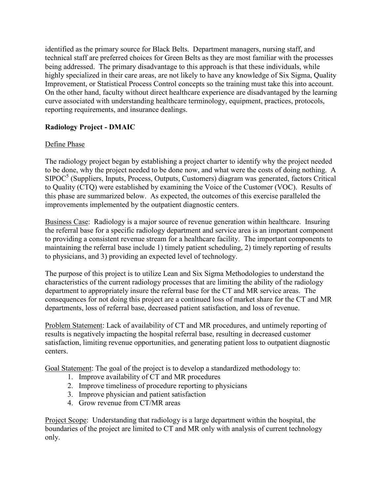identified as the primary source for Black Belts. Department managers, nursing staff, and technical staff are preferred choices for Green Belts as they are most familiar with the processes being addressed. The primary disadvantage to this approach is that these individuals, while highly specialized in their care areas, are not likely to have any knowledge of Six Sigma, Quality Improvement, or Statistical Process Control concepts so the training must take this into account. On the other hand, faculty without direct healthcare experience are disadvantaged by the learning curve associated with understanding healthcare terminology, equipment, practices, protocols, reporting requirements, and insurance dealings.

## Radiology Project - DMAIC

## Define Phase

The radiology project began by establishing a project charter to identify why the project needed to be done, why the project needed to be done now, and what were the costs of doing nothing. A SIPOC<sup>5</sup> (Suppliers, Inputs, Process, Outputs, Customers) diagram was generated, factors Critical to Quality (CTQ) were established by examining the Voice of the Customer (VOC). Results of this phase are summarized below. As expected, the outcomes of this exercise paralleled the improvements implemented by the outpatient diagnostic centers.

Business Case: Radiology is a major source of revenue generation within healthcare. Insuring the referral base for a specific radiology department and service area is an important component to providing a consistent revenue stream for a healthcare facility. The important components to maintaining the referral base include 1) timely patient scheduling, 2) timely reporting of results to physicians, and 3) providing an expected level of technology.

The purpose of this project is to utilize Lean and Six Sigma Methodologies to understand the characteristics of the current radiology processes that are limiting the ability of the radiology department to appropriately insure the referral base for the CT and MR service areas. The consequences for not doing this project are a continued loss of market share for the CT and MR departments, loss of referral base, decreased patient satisfaction, and loss of revenue.

Problem Statement: Lack of availability of CT and MR procedures, and untimely reporting of results is negatively impacting the hospital referral base, resulting in decreased customer satisfaction, limiting revenue opportunities, and generating patient loss to outpatient diagnostic centers.

Goal Statement: The goal of the project is to develop a standardized methodology to:

- 1. Improve availability of CT and MR procedures
- 2. Improve timeliness of procedure reporting to physicians
- 3. Improve physician and patient satisfaction
- 4. Grow revenue from CT/MR areas

Project Scope: Understanding that radiology is a large department within the hospital, the boundaries of the project are limited to CT and MR only with analysis of current technology only.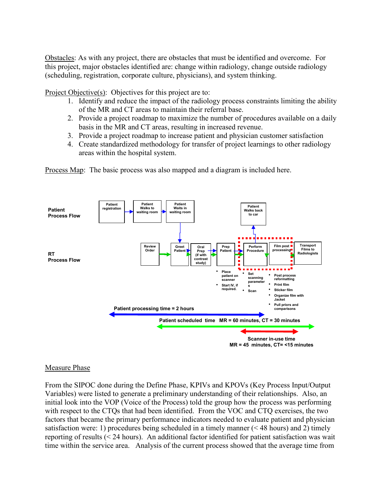Obstacles: As with any project, there are obstacles that must be identified and overcome. For this project, major obstacles identified are: change within radiology, change outside radiology (scheduling, registration, corporate culture, physicians), and system thinking.

Project Objective(s): Objectives for this project are to:

- 1. Identify and reduce the impact of the radiology process constraints limiting the ability of the MR and CT areas to maintain their referral base.
- 2. Provide a project roadmap to maximize the number of procedures available on a daily basis in the MR and CT areas, resulting in increased revenue.
- 3. Provide a project roadmap to increase patient and physician customer satisfaction
- 4. Create standardized methodology for transfer of project learnings to other radiology areas within the hospital system.

Process Map: The basic process was also mapped and a diagram is included here.



#### Measure Phase

From the SIPOC done during the Define Phase, KPIVs and KPOVs (Key Process Input/Output Variables) were listed to generate a preliminary understanding of their relationships. Also, an initial look into the VOP (Voice of the Process) told the group how the process was performing with respect to the CTQs that had been identified. From the VOC and CTQ exercises, the two factors that became the primary performance indicators needed to evaluate patient and physician satisfaction were: 1) procedures being scheduled in a timely manner (< 48 hours) and 2) timely reporting of results (< 24 hours). An additional factor identified for patient satisfaction was wait time within the service area. Analysis of the current process showed that the average time from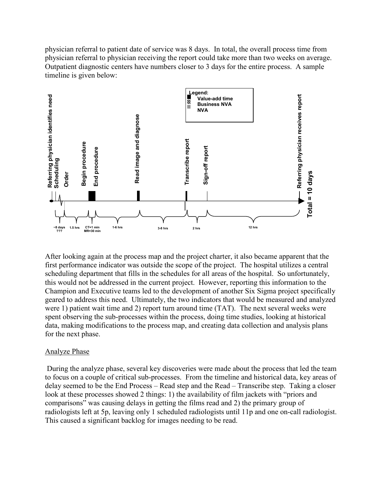physician referral to patient date of service was 8 days. In total, the overall process time from physician referral to physician receiving the report could take more than two weeks on average. Outpatient diagnostic centers have numbers closer to 3 days for the entire process. A sample timeline is given below:



After looking again at the process map and the project charter, it also became apparent that the first performance indicator was outside the scope of the project. The hospital utilizes a central scheduling department that fills in the schedules for all areas of the hospital. So unfortunately, this would not be addressed in the current project. However, reporting this information to the Champion and Executive teams led to the development of another Six Sigma project specifically geared to address this need. Ultimately, the two indicators that would be measured and analyzed were 1) patient wait time and 2) report turn around time (TAT). The next several weeks were spent observing the sub-processes within the process, doing time studies, looking at historical data, making modifications to the process map, and creating data collection and analysis plans for the next phase.

#### Analyze Phase

 During the analyze phase, several key discoveries were made about the process that led the team to focus on a couple of critical sub-processes. From the timeline and historical data, key areas of delay seemed to be the End Process – Read step and the Read – Transcribe step. Taking a closer look at these processes showed 2 things: 1) the availability of film jackets with "priors and comparisons" was causing delays in getting the films read and 2) the primary group of radiologists left at 5p, leaving only 1 scheduled radiologists until 11p and one on-call radiologist.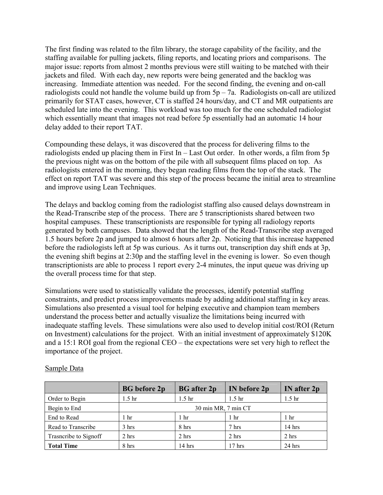The first finding was related to the film library, the storage capability of the facility, and the staffing available for pulling jackets, filing reports, and locating priors and comparisons. The major issue: reports from almost 2 months previous were still waiting to be matched with their jackets and filed. With each day, new reports were being generated and the backlog was increasing. Immediate attention was needed. For the second finding, the evening and on-call radiologists could not handle the volume build up from  $5p - 7a$ . Radiologists on-call are utilized primarily for STAT cases, however, CT is staffed 24 hours/day, and CT and MR outpatients are scheduled late into the evening. This workload was too much for the one scheduled radiologist which essentially meant that images not read before 5p essentially had an automatic 14 hour delay added to their report TAT.

Compounding these delays, it was discovered that the process for delivering films to the radiologists ended up placing them in First In – Last Out order. In other words, a film from 5p the previous night was on the bottom of the pile with all subsequent films placed on top. As radiologists entered in the morning, they began reading films from the top of the stack. The effect on report TAT was severe and this step of the process became the initial area to streamline and improve using Lean Techniques.

The delays and backlog coming from the radiologist staffing also caused delays downstream in the Read-Transcribe step of the process. There are 5 transcriptionists shared between two hospital campuses. These transcriptionists are responsible for typing all radiology reports generated by both campuses. Data showed that the length of the Read-Transcribe step averaged 1.5 hours before 2p and jumped to almost 6 hours after 2p. Noticing that this increase happened before the radiologists left at 5p was curious. As it turns out, transcription day shift ends at 3p, the evening shift begins at 2:30p and the staffing level in the evening is lower. So even though transcriptionists are able to process 1 report every 2-4 minutes, the input queue was driving up the overall process time for that step.

Simulations were used to statistically validate the processes, identify potential staffing constraints, and predict process improvements made by adding additional staffing in key areas. Simulations also presented a visual tool for helping executive and champion team members understand the process better and actually visualize the limitations being incurred with inadequate staffing levels. These simulations were also used to develop initial cost/ROI (Return on Investment) calculations for the project. With an initial investment of approximately \$120K and a 15:1 ROI goal from the regional CEO – the expectations were set very high to reflect the importance of the project.

|                       | <b>BG</b> before 2p | <b>BG</b> after 2 <i>p</i> | IN before 2p      | IN after 2p       |
|-----------------------|---------------------|----------------------------|-------------------|-------------------|
| Order to Begin        | 1.5 <sub>hr</sub>   | 1.5 <sub>hr</sub>          | 1.5 <sub>hr</sub> | 1.5 <sub>hr</sub> |
| Begin to End          | 30 min MR, 7 min CT |                            |                   |                   |
| End to Read           | hr                  | 1 hr                       | 1 hr              | 1 <sub>hr</sub>   |
| Read to Transcribe    | 3 hrs               | 8 hrs                      | 7 hrs             | $14$ hrs          |
| Trasncribe to Signoff | 2 hrs               | 2 hrs                      | 2 hrs             | 2 hrs             |
| <b>Total Time</b>     | 8 hrs               | $14$ hrs                   | $17$ hrs          | $24$ hrs          |

#### Sample Data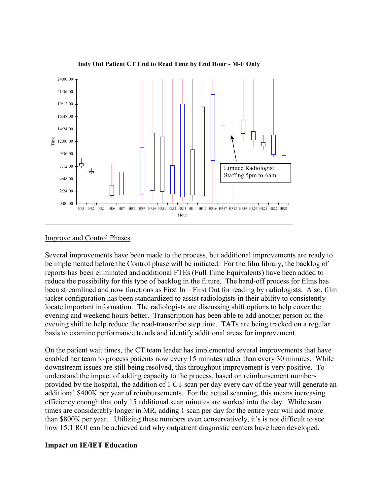

Indy Out Patient CT End to Read Time by End Hour - M-F Only

#### Improve and Control Phases

Several improvements have been made to the process, but additional improvements are ready to be implemented before the Control phase will be initiated. For the film library, the backlog of reports has been eliminated and additional FTEs (Full Time Equivalents) have been added to reduce the possibility for this type of backlog in the future. The hand-off process for films has been streamlined and now functions as First In – First Out for reading by radiologists. Also, film jacket configuration has been standardized to assist radiologists in their ability to consistently locate important information. The radiologists are discussing shift options to help cover the evening and weekend hours better. Transcription has been able to add another person on the evening shift to help reduce the read-transcribe step time. TATs are being tracked on a regular basis to examine performance trends and identify additional areas for improvement.

On the patient wait times, the CT team leader has implemented several improvements that have enabled her team to process patients now every 15 minutes rather than every 30 minutes. While downstream issues are still being resolved, this throughput improvement is very positive. To understand the impact of adding capacity to the process, based on reimbursement numbers provided by the hospital, the addition of 1 CT scan per day every day of the year will generate an additional \$400K per year of reimbursements. For the actual scanning, this means increasing efficiency enough that only 15 additional scan minutes are worked into the day. While scan times are considerably longer in MR, adding 1 scan per day for the entire year will add more than \$800K per year. Utilizing these numbers even conservatively, it's is not difficult to see how 15:1 ROI can be achieved and why outpatient diagnostic centers have been developed.

#### Impact on IE/IET Education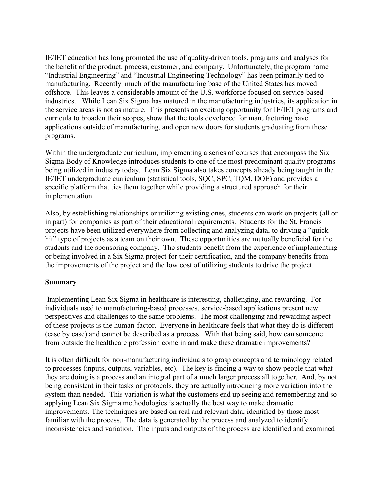IE/IET education has long promoted the use of quality-driven tools, programs and analyses for the benefit of the product, process, customer, and company. Unfortunately, the program name "Industrial Engineering" and "Industrial Engineering Technology" has been primarily tied to manufacturing. Recently, much of the manufacturing base of the United States has moved offshore. This leaves a considerable amount of the U.S. workforce focused on service-based industries. While Lean Six Sigma has matured in the manufacturing industries, its application in the service areas is not as mature. This presents an exciting opportunity for IE/IET programs and curricula to broaden their scopes, show that the tools developed for manufacturing have applications outside of manufacturing, and open new doors for students graduating from these programs.

Within the undergraduate curriculum, implementing a series of courses that encompass the Six Sigma Body of Knowledge introduces students to one of the most predominant quality programs being utilized in industry today. Lean Six Sigma also takes concepts already being taught in the IE/IET undergraduate curriculum (statistical tools, SQC, SPC, TQM, DOE) and provides a specific platform that ties them together while providing a structured approach for their implementation.

Also, by establishing relationships or utilizing existing ones, students can work on projects (all or in part) for companies as part of their educational requirements. Students for the St. Francis projects have been utilized everywhere from collecting and analyzing data, to driving a "quick hit" type of projects as a team on their own. These opportunities are mutually beneficial for the students and the sponsoring company. The students benefit from the experience of implementing or being involved in a Six Sigma project for their certification, and the company benefits from the improvements of the project and the low cost of utilizing students to drive the project.

## Summary

 Implementing Lean Six Sigma in healthcare is interesting, challenging, and rewarding. For individuals used to manufacturing-based processes, service-based applications present new perspectives and challenges to the same problems. The most challenging and rewarding aspect of these projects is the human-factor. Everyone in healthcare feels that what they do is different (case by case) and cannot be described as a process. With that being said, how can someone from outside the healthcare profession come in and make these dramatic improvements?

It is often difficult for non-manufacturing individuals to grasp concepts and terminology related to processes (inputs, outputs, variables, etc). The key is finding a way to show people that what they are doing is a process and an integral part of a much larger process all together. And, by not being consistent in their tasks or protocols, they are actually introducing more variation into the system than needed. This variation is what the customers end up seeing and remembering and so applying Lean Six Sigma methodologies is actually the best way to make dramatic improvements. The techniques are based on real and relevant data, identified by those most familiar with the process. The data is generated by the process and analyzed to identify inconsistencies and variation. The inputs and outputs of the process are identified and examined